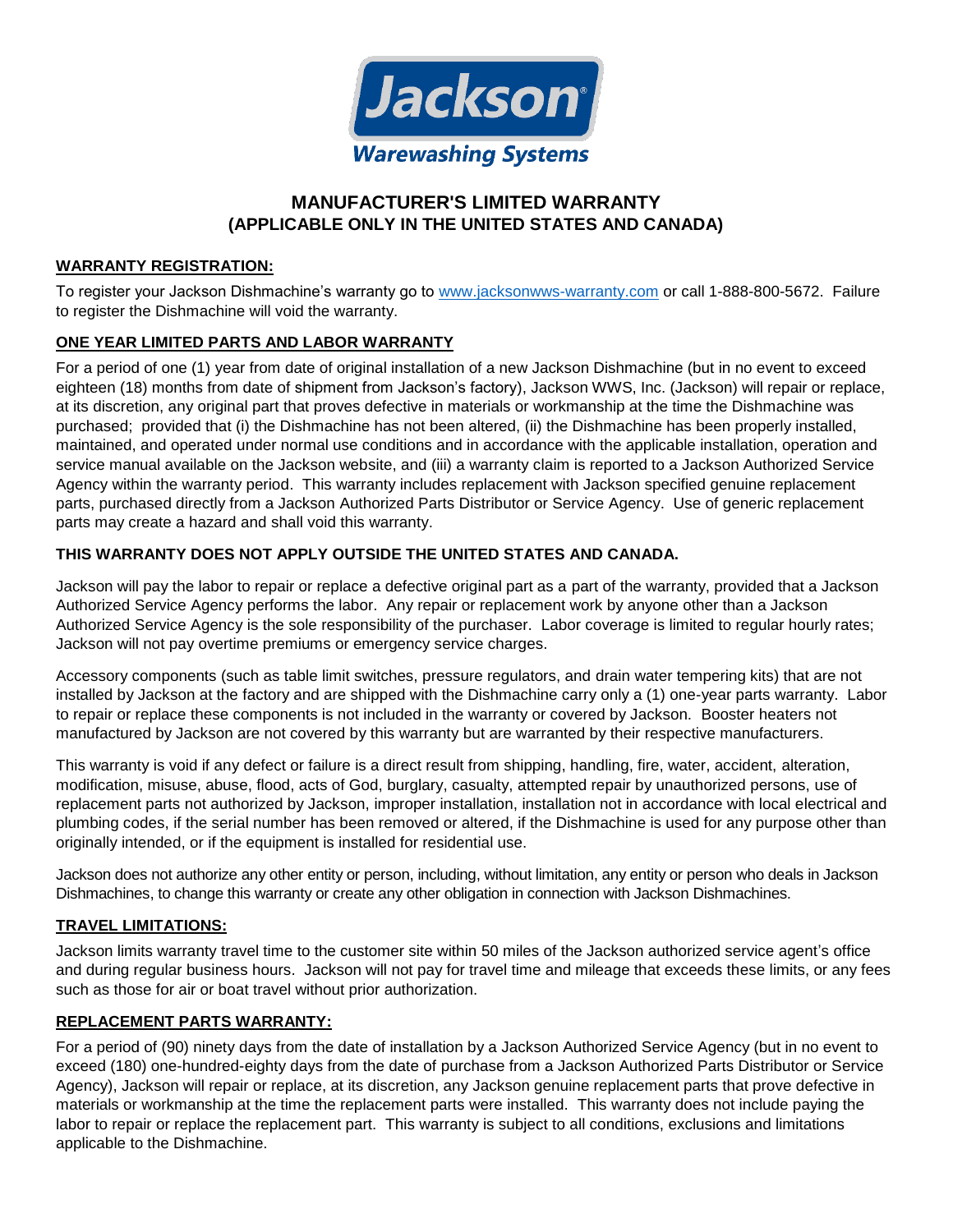

# **MANUFACTURER'S LIMITED WARRANTY (APPLICABLE ONLY IN THE UNITED STATES AND CANADA)**

### **WARRANTY REGISTRATION:**

To register your Jackson Dishmachine's warranty go to [www.jacksonwws-warranty.com](http://www.jacksonwws-warranty.com/) or call 1-888-800-5672. Failure to register the Dishmachine will void the warranty.

### **ONE YEAR LIMITED PARTS AND LABOR WARRANTY**

For a period of one (1) year from date of original installation of a new Jackson Dishmachine (but in no event to exceed eighteen (18) months from date of shipment from Jackson's factory), Jackson WWS, Inc. (Jackson) will repair or replace, at its discretion, any original part that proves defective in materials or workmanship at the time the Dishmachine was purchased; provided that (i) the Dishmachine has not been altered, (ii) the Dishmachine has been properly installed, maintained, and operated under normal use conditions and in accordance with the applicable installation, operation and service manual available on the Jackson website, and (iii) a warranty claim is reported to a Jackson Authorized Service Agency within the warranty period. This warranty includes replacement with Jackson specified genuine replacement parts, purchased directly from a Jackson Authorized Parts Distributor or Service Agency. Use of generic replacement parts may create a hazard and shall void this warranty.

#### **THIS WARRANTY DOES NOT APPLY OUTSIDE THE UNITED STATES AND CANADA.**

Jackson will pay the labor to repair or replace a defective original part as a part of the warranty, provided that a Jackson Authorized Service Agency performs the labor. Any repair or replacement work by anyone other than a Jackson Authorized Service Agency is the sole responsibility of the purchaser. Labor coverage is limited to regular hourly rates; Jackson will not pay overtime premiums or emergency service charges.

Accessory components (such as table limit switches, pressure regulators, and drain water tempering kits) that are not installed by Jackson at the factory and are shipped with the Dishmachine carry only a (1) one-year parts warranty. Labor to repair or replace these components is not included in the warranty or covered by Jackson. Booster heaters not manufactured by Jackson are not covered by this warranty but are warranted by their respective manufacturers.

This warranty is void if any defect or failure is a direct result from shipping, handling, fire, water, accident, alteration, modification, misuse, abuse, flood, acts of God, burglary, casualty, attempted repair by unauthorized persons, use of replacement parts not authorized by Jackson, improper installation, installation not in accordance with local electrical and plumbing codes, if the serial number has been removed or altered, if the Dishmachine is used for any purpose other than originally intended, or if the equipment is installed for residential use.

Jackson does not authorize any other entity or person, including, without limitation, any entity or person who deals in Jackson Dishmachines, to change this warranty or create any other obligation in connection with Jackson Dishmachines.

#### **TRAVEL LIMITATIONS:**

Jackson limits warranty travel time to the customer site within 50 miles of the Jackson authorized service agent's office and during regular business hours. Jackson will not pay for travel time and mileage that exceeds these limits, or any fees such as those for air or boat travel without prior authorization.

### **REPLACEMENT PARTS WARRANTY:**

For a period of (90) ninety days from the date of installation by a Jackson Authorized Service Agency (but in no event to exceed (180) one-hundred-eighty days from the date of purchase from a Jackson Authorized Parts Distributor or Service Agency), Jackson will repair or replace, at its discretion, any Jackson genuine replacement parts that prove defective in materials or workmanship at the time the replacement parts were installed. This warranty does not include paying the labor to repair or replace the replacement part. This warranty is subject to all conditions, exclusions and limitations applicable to the Dishmachine.